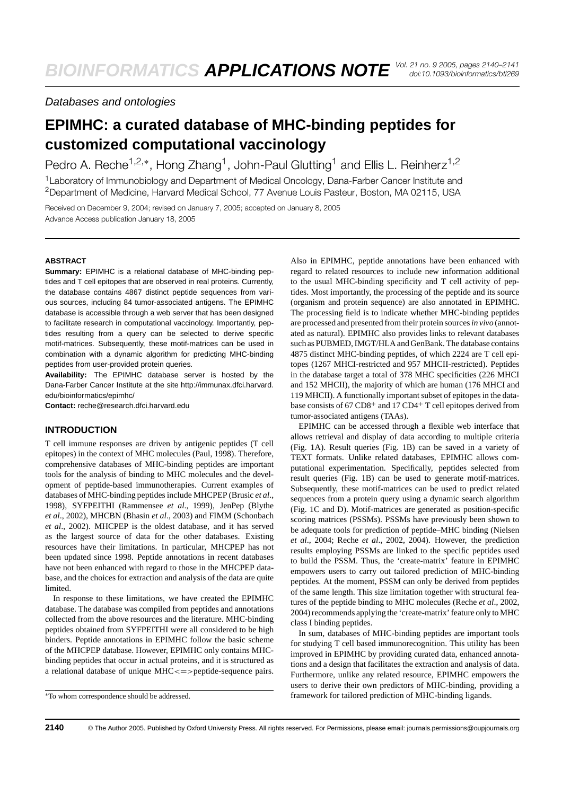## Databases and ontologies

# **EPIMHC: a curated database of MHC-binding peptides for customized computational vaccinology**

Pedro A. Reche<sup>1,2,∗</sup>, Hong Zhang<sup>1</sup>, John-Paul Glutting<sup>1</sup> and Ellis L. Reinherz<sup>1,2</sup> <sup>1</sup> Laboratory of Immunobiology and Department of Medical Oncology, Dana-Farber Cancer Institute and 2Department of Medicine, Harvard Medical School, 77 Avenue Louis Pasteur, Boston, MA 02115, USA

Received on December 9, 2004; revised on January 7, 2005; accepted on January 8, 2005 Advance Access publication January 18, 2005

#### **ABSTRACT**

**Summary:** EPIMHC is a relational database of MHC-binding peptides and T cell epitopes that are observed in real proteins. Currently, the database contains 4867 distinct peptide sequences from various sources, including 84 tumor-associated antigens. The EPIMHC database is accessible through a web server that has been designed to facilitate research in computational vaccinology. Importantly, peptides resulting from a query can be selected to derive specific motif-matrices. Subsequently, these motif-matrices can be used in combination with a dynamic algorithm for predicting MHC-binding peptides from user-provided protein queries.

**Availability:** The EPIMHC database server is hosted by the Dana-Farber Cancer Institute at the site [http://immunax.dfci.harvard.](http://immunax.dfci.harvard) edu/bioinformatics/epimhc/

**Contact:** reche@research.dfci.harvard.edu

#### **INTRODUCTION**

T cell immune responses are driven by antigenic peptides (T cell epitopes) in the context of MHC molecules (Paul, 1998). Therefore, comprehensive databases of MHC-binding peptides are important tools for the analysis of binding to MHC molecules and the development of peptide-based immunotherapies. Current examples of databases of MHC-binding peptides include MHCPEP (Brusic *et al*., 1998), SYFPEITHI (Rammensee *et al*., 1999), JenPep (Blythe *et al*., 2002), MHCBN (Bhasin *et al*., 2003) and FIMM (Schonbach *et al*., 2002). MHCPEP is the oldest database, and it has served as the largest source of data for the other databases. Existing resources have their limitations. In particular, MHCPEP has not been updated since 1998. Peptide annotations in recent databases have not been enhanced with regard to those in the MHCPEP database, and the choices for extraction and analysis of the data are quite limited.

In response to these limitations, we have created the EPIMHC database. The database was compiled from peptides and annotations collected from the above resources and the literature. MHC-binding peptides obtained from SYFPEITHI were all considered to be high binders. Peptide annotations in EPIMHC follow the basic scheme of the MHCPEP database. However, EPIMHC only contains MHCbinding peptides that occur in actual proteins, and it is structured as a relational database of unique MHC <= > peptide-sequence pairs.

Also in EPIMHC, peptide annotations have been enhanced with regard to related resources to include new information additional to the usual MHC-binding specificity and T cell activity of peptides. Most importantly, the processing of the peptide and its source (organism and protein sequence) are also annotated in EPIMHC. The processing field is to indicate whether MHC-binding peptides are processed and presented from their protein sources*in vivo* (annotated as natural). EPIMHC also provides links to relevant databases such as PUBMED, IMGT/HLA and GenBank. The database contains 4875 distinct MHC-binding peptides, of which 2224 are T cell epitopes (1267 MHCI-restricted and 957 MHCII-restricted). Peptides in the database target a total of 378 MHC specificities (226 MHCI and 152 MHCII), the majority of which are human (176 MHCI and 119 MHCII). A functionally important subset of epitopes in the database consists of 67 CD8+ and 17 CD4+ T cell epitopes derived from tumor-associated antigens (TAAs).

EPIMHC can be accessed through a flexible web interface that allows retrieval and display of data according to multiple criteria (Fig. 1A). Result queries (Fig. 1B) can be saved in a variety of TEXT formats. Unlike related databases, EPIMHC allows computational experimentation. Specifically, peptides selected from result queries (Fig. 1B) can be used to generate motif-matrices. Subsequently, these motif-matrices can be used to predict related sequences from a protein query using a dynamic search algorithm (Fig. 1C and D). Motif-matrices are generated as position-specific scoring matrices (PSSMs). PSSMs have previously been shown to be adequate tools for prediction of peptide–MHC binding (Nielsen *et al*., 2004; Reche *et al*., 2002, 2004). However, the prediction results employing PSSMs are linked to the specific peptides used to build the PSSM. Thus, the 'create-matrix' feature in EPIMHC empowers users to carry out tailored prediction of MHC-binding peptides. At the moment, PSSM can only be derived from peptides of the same length. This size limitation together with structural features of the peptide binding to MHC molecules (Reche *et al*., 2002, 2004) recommends applying the 'create-matrix' feature only to MHC class I binding peptides.

In sum, databases of MHC-binding peptides are important tools for studying T cell based immunorecognition. This utility has been improved in EPIMHC by providing curated data, enhanced annotations and a design that facilitates the extraction and analysis of data. Furthermore, unlike any related resource, EPIMHC empowers the users to derive their own predictors of MHC-binding, providing a framework for tailored prediction of MHC-binding ligands.

<sup>∗</sup>To whom correspondence should be addressed.